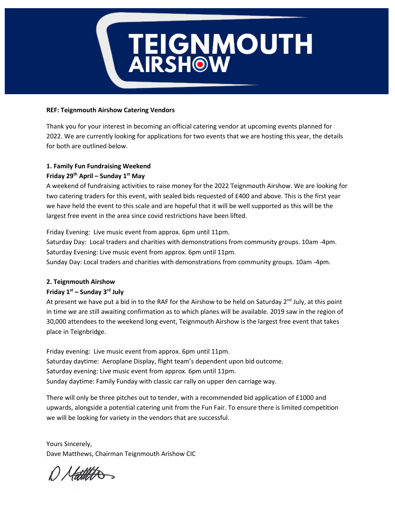# **TEIGNMOUTH<br>AIRSHOW**

### **REF: Teignmouth Airshow Catering Vendors**

Thank you for your interest in becoming an official catering vendor at upcoming events planned for 2022. We are currently looking for applications for two events that we are hosting this year, the details for both are outlined below.

# **1. Family Fun Fundraising Weekend Friday 29th April – Sunday 1st May**

A weekend of fundraising activities to raise money for the 2022 Teignmouth Airshow. We are looking for two catering traders for this event, with sealed bids requested of £400 and above. This is the first year we have held the event to this scale and are hopeful that it will be well supported as this will be the largest free event in the area since covid restrictions have been lifted.

Friday Evening: Live music event from approx. 6pm until 11pm. Saturday Day: Local traders and charities with demonstrations from community groups. 10am -4pm. Saturday Evening: Live music event from approx. 6pm until 11pm. Sunday Day: Local traders and charities with demonstrations from community groups. 10am -4pm.

## **2. Teignmouth Airshow**

# **Friday 1st – Sunday 3rd July**

At present we have put a bid in to the RAF for the Airshow to be held on Saturday  $2^{nd}$  July, at this point in time we are still awaiting confirmation as to which planes will be available. 2019 saw in the region of 30,000 attendees to the weekend long event, Teignmouth Airshow is the largest free event that takes place in Teignbridge.

Friday evening: Live music event from approx. 6pm until 11pm. Saturday daytime: Aeroplane Display, flight team's dependent upon bid outcome. Saturday evening: Live music event from approx. 6pm until 11pm. Sunday daytime: Family Funday with classic car rally on upper den carriage way.

There will only be three pitches out to tender, with a recommended bid application of £1000 and upwards, alongside a potential catering unit from the Fun Fair. To ensure there is limited competition we will be looking for variety in the vendors that are successful.

Yours Sincerely, Dave Matthews, Chairman Teignmouth Arishow CIC

Hattitte